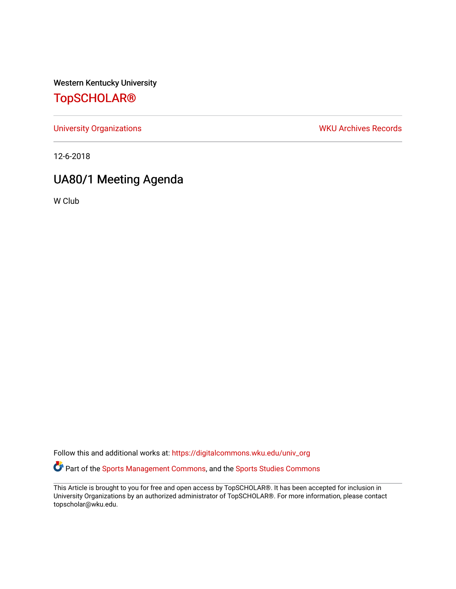Western Kentucky University

## [TopSCHOLAR®](https://digitalcommons.wku.edu/)

[University Organizations](https://digitalcommons.wku.edu/univ_org) **WKU Archives Records** 

12-6-2018

## UA80/1 Meeting Agenda

W Club

Follow this and additional works at: [https://digitalcommons.wku.edu/univ\\_org](https://digitalcommons.wku.edu/univ_org?utm_source=digitalcommons.wku.edu%2Funiv_org%2F159&utm_medium=PDF&utm_campaign=PDFCoverPages)  Part of the [Sports Management Commons](http://network.bepress.com/hgg/discipline/1193?utm_source=digitalcommons.wku.edu%2Funiv_org%2F159&utm_medium=PDF&utm_campaign=PDFCoverPages), and the [Sports Studies Commons](http://network.bepress.com/hgg/discipline/1198?utm_source=digitalcommons.wku.edu%2Funiv_org%2F159&utm_medium=PDF&utm_campaign=PDFCoverPages)

This Article is brought to you for free and open access by TopSCHOLAR®. It has been accepted for inclusion in University Organizations by an authorized administrator of TopSCHOLAR®. For more information, please contact topscholar@wku.edu.